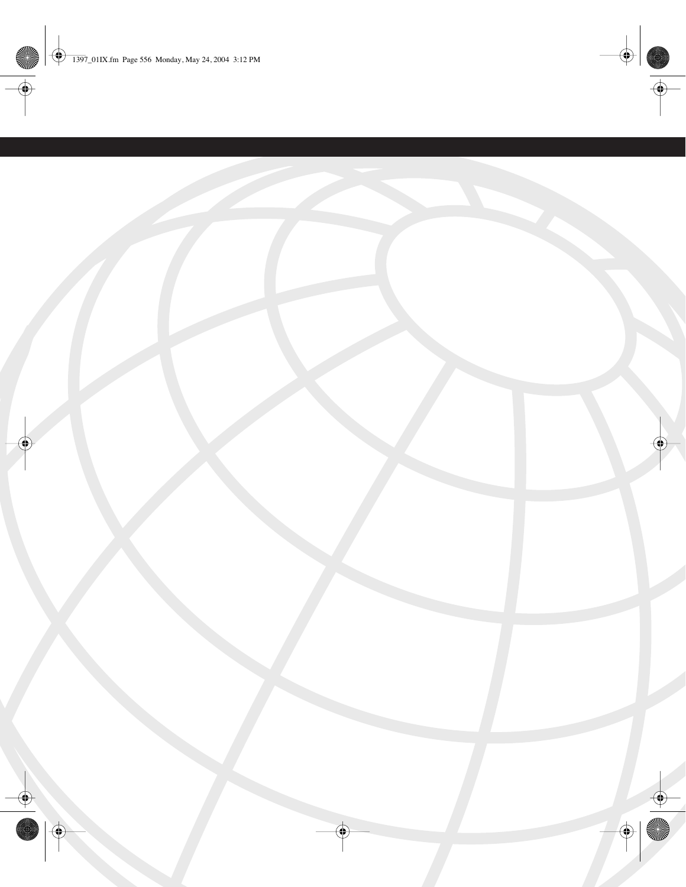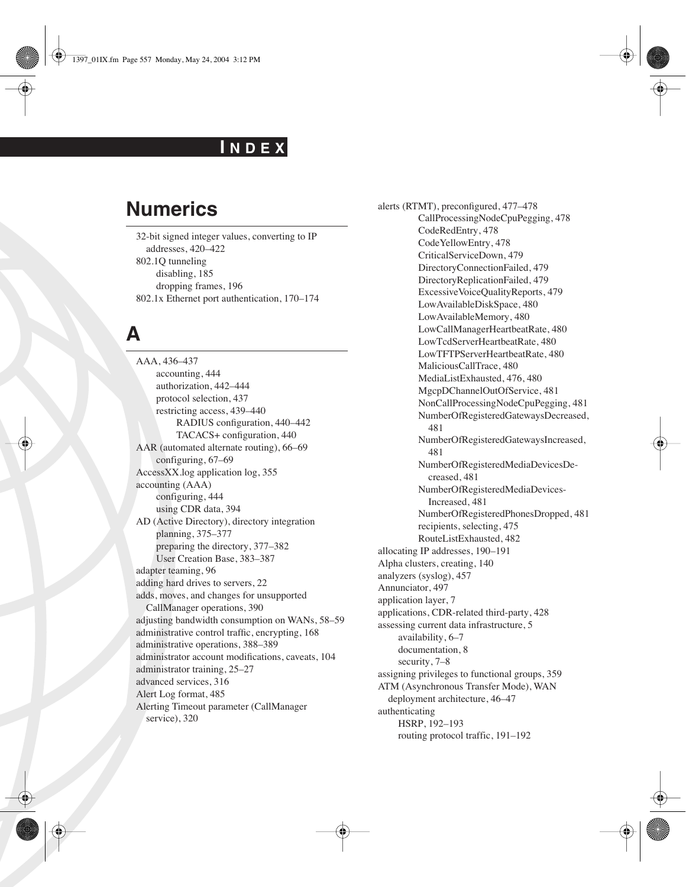#### **I N D E X**

### **Numerics**

32-bit signed integer values, converting to IP addresses, 420–422 802.1Q tunneling disabling, 185 dropping frames, 196 802.1x Ethernet port authentication, 170–174

#### **A**

AAA, 436–437 accounting, 444 authorization, 442–444 protocol selection, 437 restricting access, 439–440 RADIUS configuration, 440–442 TACACS+ configuration, 440 AAR (automated alternate routing), 66–69 configuring, 67–69 AccessXX.log application log, 355 accounting (AAA) configuring, 444 using CDR data, 394 AD (Active Directory), directory integration planning, 375–377 preparing the directory, 377–382 User Creation Base, 383–387 adapter teaming, 96 adding hard drives to servers, 22 adds, moves, and changes for unsupported CallManager operations, 390 adjusting bandwidth consumption on WANs, 58–59 administrative control traffic, encrypting, 168 administrative operations, 388–389 administrator account modifications, caveats, 104 administrator training, 25–27 advanced services, 316 Alert Log format, 485 Alerting Timeout parameter (CallManager service), 320

alerts (RTMT), preconfigured, 477–478 CallProcessingNodeCpuPegging, 478 CodeRedEntry, 478 CodeYellowEntry, 478 CriticalServiceDown, 479 DirectoryConnectionFailed, 479 DirectoryReplicationFailed, 479 ExcessiveVoiceQualityReports, 479 LowAvailableDiskSpace, 480 LowAvailableMemory, 480 LowCallManagerHeartbeatRate, 480 LowTcdServerHeartbeatRate, 480 LowTFTPServerHeartbeatRate, 480 MaliciousCallTrace, 480 MediaListExhausted, 476, 480 MgcpDChannelOutOfService, 481 NonCallProcessingNodeCpuPegging, 481 NumberOfRegisteredGatewaysDecreased, 481 NumberOfRegisteredGatewaysIncreased, 481 NumberOfRegisteredMediaDevicesDecreased, 481 NumberOfRegisteredMediaDevices-Increased, 481 NumberOfRegisteredPhonesDropped, 481 recipients, selecting, 475 RouteListExhausted, 482 allocating IP addresses, 190–191 Alpha clusters, creating, 140 analyzers (syslog), 457 Annunciator, 497 application layer, 7 applications, CDR-related third-party, 428 assessing current data infrastructure, 5 availability, 6–7 documentation, 8 security, 7–8 assigning privileges to functional groups, 359 ATM (Asynchronous Transfer Mode), WAN deployment architecture, 46–47 authenticating HSRP, 192–193 routing protocol traffic, 191–192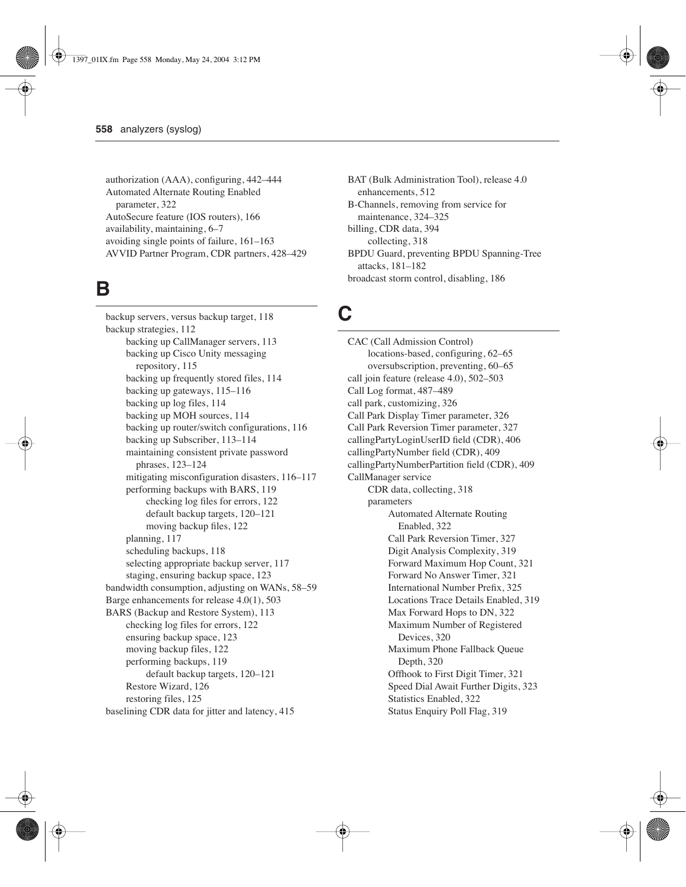authorization (AAA), configuring, 442–444 Automated Alternate Routing Enabled parameter, 322 AutoSecure feature (IOS routers), 166 availability, maintaining, 6–7 avoiding single points of failure, 161–163 AVVID Partner Program, CDR partners, 428–429

### **B**

backup servers, versus backup target, 118 backup strategies, 112 backing up CallManager servers, 113 backing up Cisco Unity messaging repository, 115 backing up frequently stored files, 114 backing up gateways, 115–116 backing up log files, 114 backing up MOH sources, 114 backing up router/switch configurations, 116 backing up Subscriber, 113–114 maintaining consistent private password phrases, 123–124 mitigating misconfiguration disasters, 116–117 performing backups with BARS, 119 checking log files for errors, 122 default backup targets, 120–121 moving backup files, 122 planning, 117 scheduling backups, 118 selecting appropriate backup server, 117 staging, ensuring backup space, 123 bandwidth consumption, adjusting on WANs, 58–59 Barge enhancements for release 4.0(1), 503 BARS (Backup and Restore System), 113 checking log files for errors, 122 ensuring backup space, 123 moving backup files, 122 performing backups, 119 default backup targets, 120–121 Restore Wizard, 126 restoring files, 125 baselining CDR data for jitter and latency, 415

BAT (Bulk Administration Tool), release 4.0 enhancements, 512 B-Channels, removing from service for maintenance, 324–325 billing, CDR data, 394 collecting, 318 BPDU Guard, preventing BPDU Spanning-Tree attacks, 181–182 broadcast storm control, disabling, 186

### **C**

CAC (Call Admission Control) locations-based, configuring, 62–65 oversubscription, preventing, 60–65 call join feature (release 4.0), 502–503 Call Log format, 487–489 call park, customizing, 326 Call Park Display Timer parameter, 326 Call Park Reversion Timer parameter, 327 callingPartyLoginUserID field (CDR), 406 callingPartyNumber field (CDR), 409 callingPartyNumberPartition field (CDR), 409 CallManager service CDR data, collecting, 318 parameters Automated Alternate Routing Enabled, 322 Call Park Reversion Timer, 327 Digit Analysis Complexity, 319 Forward Maximum Hop Count, 321 Forward No Answer Timer, 321 International Number Prefix, 325 Locations Trace Details Enabled, 319 Max Forward Hops to DN, 322 Maximum Number of Registered Devices, 320 Maximum Phone Fallback Queue Depth, 320 Offhook to First Digit Timer, 321 Speed Dial Await Further Digits, 323 Statistics Enabled, 322 Status Enquiry Poll Flag, 319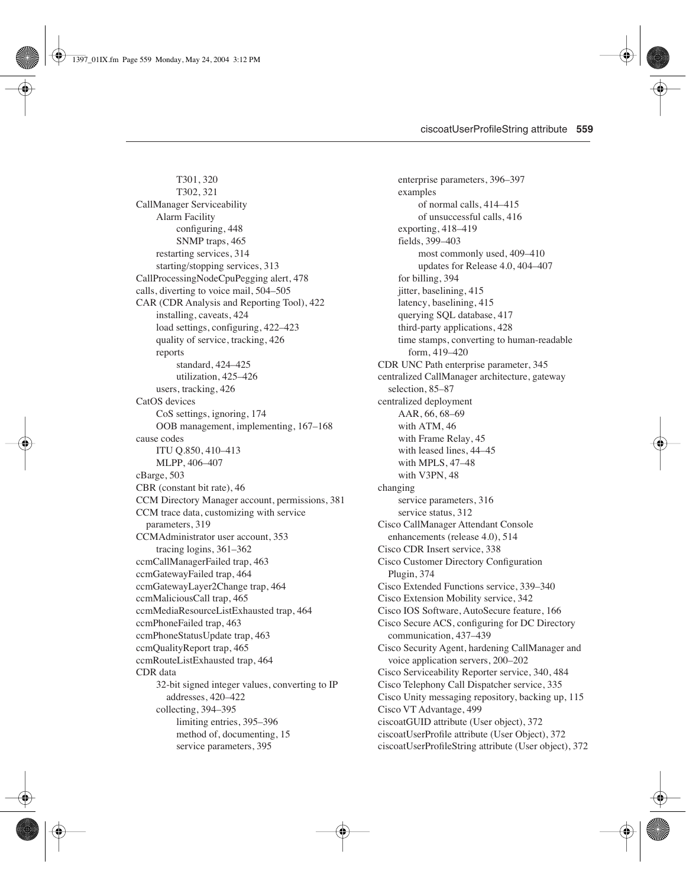T301, 320 T302, 321 CallManager Serviceability Alarm Facility configuring, 448 SNMP traps, 465 restarting services, 314 starting/stopping services, 313 CallProcessingNodeCpuPegging alert, 478 calls, diverting to voice mail, 504–505 CAR (CDR Analysis and Reporting Tool), 422 installing, caveats, 424 load settings, configuring, 422–423 quality of service, tracking, 426 reports standard, 424–425 utilization, 425–426 users, tracking, 426 CatOS devices CoS settings, ignoring, 174 OOB management, implementing, 167–168 cause codes ITU Q.850, 410–413 MLPP, 406–407 cBarge, 503 CBR (constant bit rate), 46 CCM Directory Manager account, permissions, 381 CCM trace data, customizing with service parameters, 319 CCMAdministrator user account, 353 tracing logins, 361–362 ccmCallManagerFailed trap, 463 ccmGatewayFailed trap, 464 ccmGatewayLayer2Change trap, 464 ccmMaliciousCall trap, 465 ccmMediaResourceListExhausted trap, 464 ccmPhoneFailed trap, 463 ccmPhoneStatusUpdate trap, 463 ccmQualityReport trap, 465 ccmRouteListExhausted trap, 464 CDR data 32-bit signed integer values, converting to IP addresses, 420–422 collecting, 394–395 limiting entries, 395–396 method of, documenting, 15 service parameters, 395

enterprise parameters, 396–397 examples of normal calls, 414–415 of unsuccessful calls, 416 exporting, 418–419 fields, 399–403 most commonly used, 409–410 updates for Release 4.0, 404–407 for billing, 394 jitter, baselining, 415 latency, baselining, 415 querying SQL database, 417 third-party applications, 428 time stamps, converting to human-readable form, 419–420 CDR UNC Path enterprise parameter, 345 centralized CallManager architecture, gateway selection, 85–87 centralized deployment AAR, 66, 68–69 with ATM, 46 with Frame Relay, 45 with leased lines, 44–45 with MPLS, 47–48 with V3PN, 48 changing service parameters, 316 service status, 312 Cisco CallManager Attendant Console enhancements (release 4.0), 514 Cisco CDR Insert service, 338 Cisco Customer Directory Configuration Plugin, 374 Cisco Extended Functions service, 339–340 Cisco Extension Mobility service, 342 Cisco IOS Software, AutoSecure feature, 166 Cisco Secure ACS, configuring for DC Directory communication, 437–439 Cisco Security Agent, hardening CallManager and voice application servers, 200–202 Cisco Serviceability Reporter service, 340, 484 Cisco Telephony Call Dispatcher service, 335 Cisco Unity messaging repository, backing up, 115 Cisco VT Advantage, 499 ciscoatGUID attribute (User object), 372 ciscoatUserProfile attribute (User Object), 372 ciscoatUserProfileString attribute (User object), 372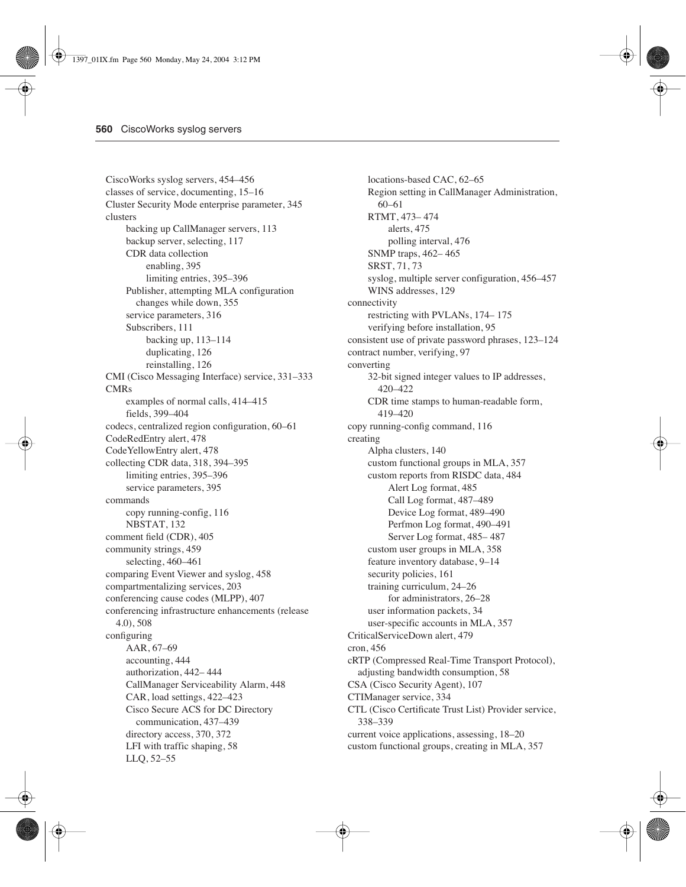CiscoWorks syslog servers, 454–456 classes of service, documenting, 15–16 Cluster Security Mode enterprise parameter, 345 clusters backing up CallManager servers, 113 backup server, selecting, 117 CDR data collection enabling, 395 limiting entries, 395–396 Publisher, attempting MLA configuration changes while down, 355 service parameters, 316 Subscribers, 111 backing up, 113–114 duplicating, 126 reinstalling, 126 CMI (Cisco Messaging Interface) service, 331–333 CMRs examples of normal calls, 414–415 fields, 399–404 codecs, centralized region configuration, 60–61 CodeRedEntry alert, 478 CodeYellowEntry alert, 478 collecting CDR data, 318, 394–395 limiting entries, 395–396 service parameters, 395 commands copy running-config, 116 NBSTAT, 132 comment field (CDR), 405 community strings, 459 selecting, 460–461 comparing Event Viewer and syslog, 458 compartmentalizing services, 203 conferencing cause codes (MLPP), 407 conferencing infrastructure enhancements (release 4.0), 508 configuring AAR, 67–69 accounting, 444 authorization, 442– 444 CallManager Serviceability Alarm, 448 CAR, load settings, 422–423 Cisco Secure ACS for DC Directory communication, 437–439 directory access, 370, 372 LFI with traffic shaping, 58 LLQ, 52–55

locations-based CAC, 62–65 Region setting in CallManager Administration, 60–61 RTMT, 473– 474 alerts, 475 polling interval, 476 SNMP traps, 462– 465 SRST, 71, 73 syslog, multiple server configuration, 456–457 WINS addresses, 129 connectivity restricting with PVLANs, 174– 175 verifying before installation, 95 consistent use of private password phrases, 123–124 contract number, verifying, 97 converting 32-bit signed integer values to IP addresses, 420–422 CDR time stamps to human-readable form, 419–420 copy running-config command, 116 creating Alpha clusters, 140 custom functional groups in MLA, 357 custom reports from RISDC data, 484 Alert Log format, 485 Call Log format, 487–489 Device Log format, 489–490 Perfmon Log format, 490–491 Server Log format, 485– 487 custom user groups in MLA, 358 feature inventory database, 9–14 security policies, 161 training curriculum, 24–26 for administrators, 26–28 user information packets, 34 user-specific accounts in MLA, 357 CriticalServiceDown alert, 479 cron, 456 cRTP (Compressed Real-Time Transport Protocol), adjusting bandwidth consumption, 58 CSA (Cisco Security Agent), 107 CTIManager service, 334 CTL (Cisco Certificate Trust List) Provider service, 338–339 current voice applications, assessing, 18–20 custom functional groups, creating in MLA, 357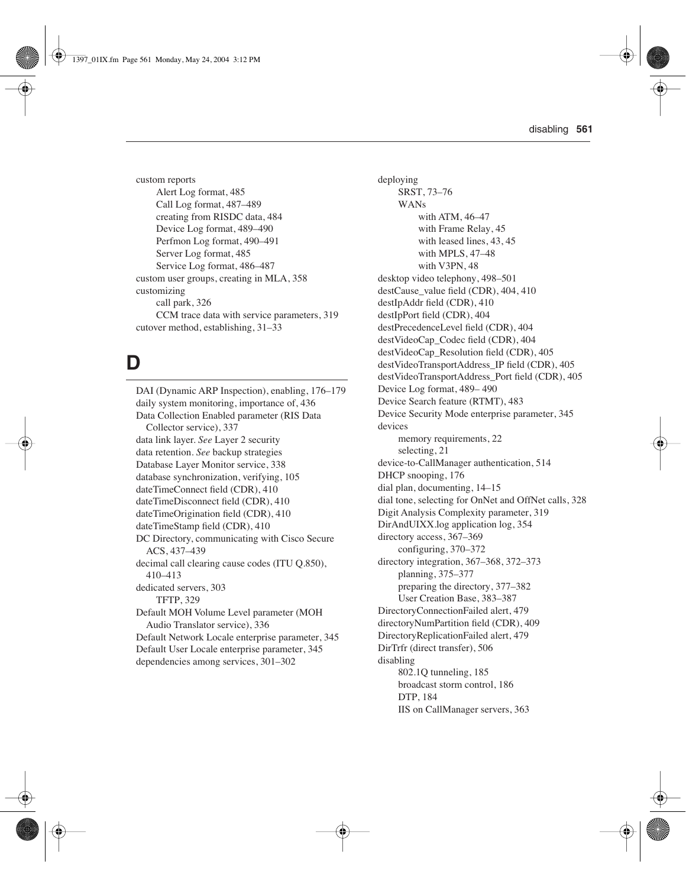custom reports Alert Log format, 485 Call Log format, 487–489 creating from RISDC data, 484 Device Log format, 489–490 Perfmon Log format, 490–491 Server Log format, 485 Service Log format, 486–487 custom user groups, creating in MLA, 358 customizing call park, 326 CCM trace data with service parameters, 319 cutover method, establishing, 31–33

# **D**

DAI (Dynamic ARP Inspection), enabling, 176–179 daily system monitoring, importance of, 436 Data Collection Enabled parameter (RIS Data Collector service), 337 data link layer. *See* Layer 2 security data retention. *See* backup strategies Database Layer Monitor service, 338 database synchronization, verifying, 105 dateTimeConnect field (CDR), 410 dateTimeDisconnect field (CDR), 410 dateTimeOrigination field (CDR), 410 dateTimeStamp field (CDR), 410 DC Directory, communicating with Cisco Secure ACS, 437–439 decimal call clearing cause codes (ITU Q.850), 410–413 dedicated servers, 303 TFTP, 329 Default MOH Volume Level parameter (MOH Audio Translator service), 336 Default Network Locale enterprise parameter, 345 Default User Locale enterprise parameter, 345 dependencies among services, 301–302

deploying SRST, 73–76 WANs with ATM, 46–47 with Frame Relay, 45 with leased lines, 43, 45 with MPLS, 47–48 with V3PN, 48 desktop video telephony, 498–501 destCause\_value field (CDR), 404, 410 destIpAddr field (CDR), 410 destIpPort field (CDR), 404 destPrecedenceLevel field (CDR), 404 destVideoCap\_Codec field (CDR), 404 destVideoCap\_Resolution field (CDR), 405 destVideoTransportAddress\_IP field (CDR), 405 destVideoTransportAddress\_Port field (CDR), 405 Device Log format, 489– 490 Device Search feature (RTMT), 483 Device Security Mode enterprise parameter, 345 devices memory requirements, 22 selecting, 21 device-to-CallManager authentication, 514 DHCP snooping, 176 dial plan, documenting, 14–15 dial tone, selecting for OnNet and OffNet calls, 328 Digit Analysis Complexity parameter, 319 DirAndUIXX.log application log, 354 directory access, 367–369 configuring, 370–372 directory integration, 367–368, 372–373 planning, 375–377 preparing the directory, 377–382 User Creation Base, 383–387 DirectoryConnectionFailed alert, 479 directoryNumPartition field (CDR), 409 DirectoryReplicationFailed alert, 479 DirTrfr (direct transfer), 506 disabling 802.1Q tunneling, 185 broadcast storm control, 186 DTP, 184 IIS on CallManager servers, 363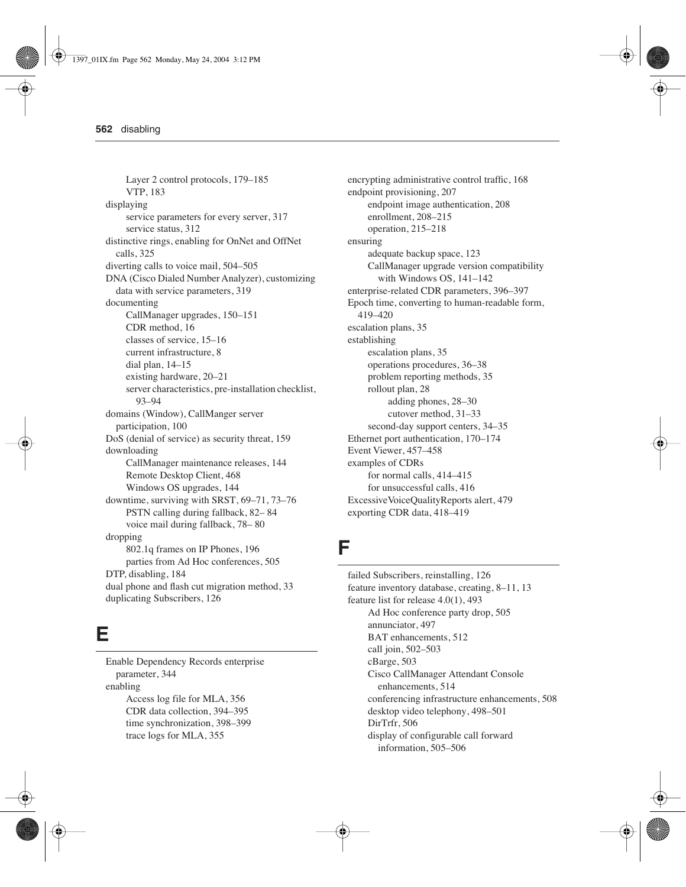Layer 2 control protocols, 179–185 VTP, 183 displaying service parameters for every server, 317 service status, 312 distinctive rings, enabling for OnNet and OffNet calls, 325 diverting calls to voice mail, 504–505 DNA (Cisco Dialed Number Analyzer), customizing data with service parameters, 319 documenting CallManager upgrades, 150–151 CDR method, 16 classes of service, 15–16 current infrastructure, 8 dial plan, 14–15 existing hardware, 20–21 server characteristics, pre-installation checklist, 93–94 domains (Window), CallManger server participation, 100 DoS (denial of service) as security threat, 159 downloading CallManager maintenance releases, 144 Remote Desktop Client, 468 Windows OS upgrades, 144 downtime, surviving with SRST, 69–71, 73–76 PSTN calling during fallback, 82– 84 voice mail during fallback, 78– 80 dropping 802.1q frames on IP Phones, 196 parties from Ad Hoc conferences, 505 DTP, disabling, 184 dual phone and flash cut migration method, 33 duplicating Subscribers, 126

#### **E**

Enable Dependency Records enterprise parameter, 344 enabling Access log file for MLA, 356 CDR data collection, 394–395 time synchronization, 398–399 trace logs for MLA, 355

encrypting administrative control traffic, 168 endpoint provisioning, 207 endpoint image authentication, 208 enrollment, 208–215 operation, 215–218 ensuring adequate backup space, 123 CallManager upgrade version compatibility with Windows OS, 141–142 enterprise-related CDR parameters, 396–397 Epoch time, converting to human-readable form, 419–420 escalation plans, 35 establishing escalation plans, 35 operations procedures, 36–38 problem reporting methods, 35 rollout plan, 28 adding phones, 28–30 cutover method, 31–33 second-day support centers, 34–35 Ethernet port authentication, 170–174 Event Viewer, 457–458 examples of CDRs for normal calls, 414–415 for unsuccessful calls, 416 ExcessiveVoiceQualityReports alert, 479 exporting CDR data, 418–419

#### **F**

failed Subscribers, reinstalling, 126 feature inventory database, creating, 8–11, 13 feature list for release 4.0(1), 493 Ad Hoc conference party drop, 505 annunciator, 497 BAT enhancements, 512 call join, 502–503 cBarge, 503 Cisco CallManager Attendant Console enhancements, 514 conferencing infrastructure enhancements, 508 desktop video telephony, 498–501 DirTrfr, 506 display of configurable call forward information, 505–506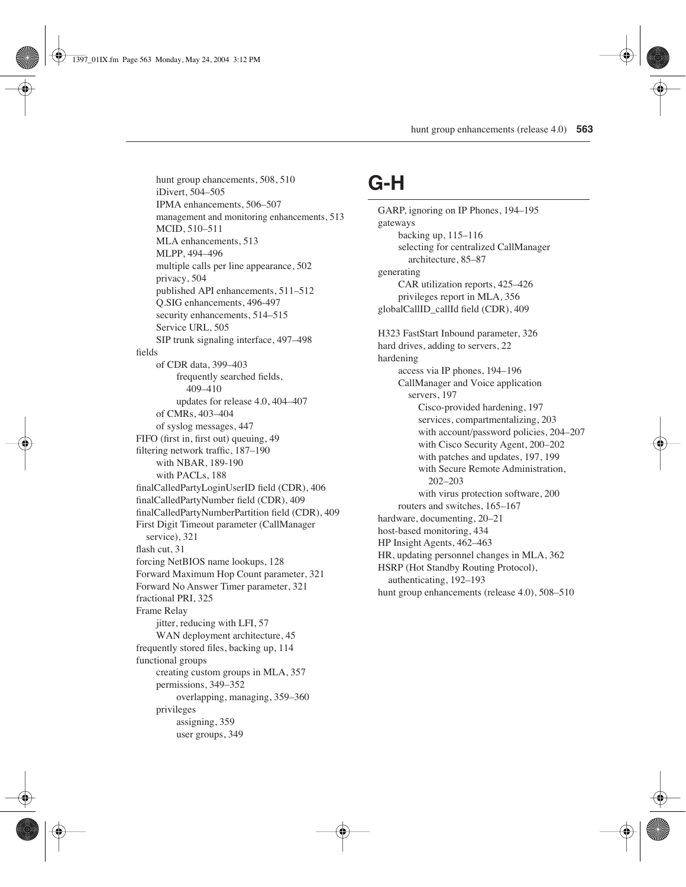hunt group ehancements, 508, 510 iDivert, 504–505 IPMA enhancements, 506–507 management and monitoring enhancements, 513 MCID, 510–511 MLA enhancements, 513 MLPP, 494–496 multiple calls per line appearance, 502 privacy, 504 published API enhancements, 511–512 Q.SIG enhancements, 496-497 security enhancements, 514-515 Service URL, 505 SIP trunk signaling interface, 497–498 fields of CDR data, 399–403 frequently searched fields, 409–410 updates for release 4.0, 404–407 of CMRs, 403–404 of syslog messages, 447 FIFO (first in, first out) queuing, 49 filtering network traffic, 187–190 with NBAR, 189-190 with PACLs, 188 finalCalledPartyLoginUserID field (CDR), 406 finalCalledPartyNumber field (CDR), 409 finalCalledPartyNumberPartition field (CDR), 409 First Digit Timeout parameter (CallManager service), 321 flash cut, 31 forcing NetBIOS name lookups, 128 Forward Maximum Hop Count parameter, 321 Forward No Answer Timer parameter, 321 fractional PRI, 325 Frame Relay jitter, reducing with LFI, 57 WAN deployment architecture, 45 frequently stored files, backing up, 114 functional groups creating custom groups in MLA, 357 permissions, 349–352 overlapping, managing, 359–360 privileges assigning, 359

user groups, 349

# **G-H**

GARP, ignoring on IP Phones, 194–195 gateways backing up, 115–116 selecting for centralized CallManager architecture, 85–87 generating CAR utilization reports, 425–426 privileges report in MLA, 356 globalCallID\_callId field (CDR), 409 H323 FastStart Inbound parameter, 326 hard drives, adding to servers, 22 hardening access via IP phones, 194–196 CallManager and Voice application servers, 197 Cisco-provided hardening, 197 services, compartmentalizing, 203 with account/password policies, 204–207 with Cisco Security Agent, 200–202 with patches and updates, 197, 199 with Secure Remote Administration, 202–203 with virus protection software, 200 routers and switches, 165–167 hardware, documenting, 20–21 host-based monitoring, 434 HP Insight Agents, 462–463 HR, updating personnel changes in MLA, 362 HSRP (Hot Standby Routing Protocol), authenticating, 192–193 hunt group enhancements (release 4.0), 508–510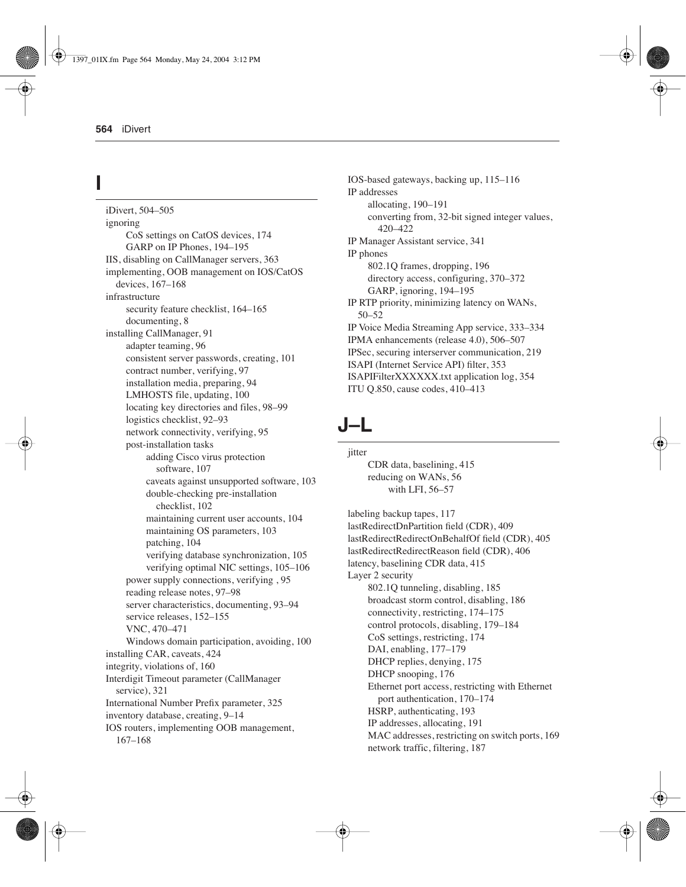**I**

iDivert, 504–505 ignoring CoS settings on CatOS devices, 174 GARP on IP Phones, 194–195 IIS, disabling on CallManager servers, 363 implementing, OOB management on IOS/CatOS devices, 167–168 infrastructure security feature checklist, 164–165 documenting, 8 installing CallManager, 91 adapter teaming, 96 consistent server passwords, creating, 101 contract number, verifying, 97 installation media, preparing, 94 LMHOSTS file, updating, 100 locating key directories and files, 98–99 logistics checklist, 92–93 network connectivity, verifying, 95 post-installation tasks adding Cisco virus protection software, 107 caveats against unsupported software, 103 double-checking pre-installation checklist, 102 maintaining current user accounts, 104 maintaining OS parameters, 103 patching, 104 verifying database synchronization, 105 verifying optimal NIC settings, 105–106 power supply connections, verifying , 95 reading release notes, 97–98 server characteristics, documenting, 93–94 service releases, 152–155 VNC, 470–471 Windows domain participation, avoiding, 100 installing CAR, caveats, 424 integrity, violations of, 160 Interdigit Timeout parameter (CallManager service), 321 International Number Prefix parameter, 325 inventory database, creating, 9–14 IOS routers, implementing OOB management, 167–168

IOS-based gateways, backing up, 115–116 IP addresses allocating, 190–191 converting from, 32-bit signed integer values, 420–422 IP Manager Assistant service, 341 IP phones 802.1Q frames, dropping, 196 directory access, configuring, 370–372 GARP, ignoring, 194–195 IP RTP priority, minimizing latency on WANs, 50–52 IP Voice Media Streaming App service, 333–334 IPMA enhancements (release 4.0), 506–507 IPSec, securing interserver communication, 219 ISAPI (Internet Service API) filter, 353 ISAPIFilterXXXXXX.txt application log, 354 ITU Q.850, cause codes, 410–413

# **J–L**

jitter CDR data, baselining, 415 reducing on WANs, 56 with LFI, 56–57

labeling backup tapes, 117 lastRedirectDnPartition field (CDR), 409 lastRedirectRedirectOnBehalfOf field (CDR), 405 lastRedirectRedirectReason field (CDR), 406 latency, baselining CDR data, 415 Layer 2 security 802.1Q tunneling, disabling, 185 broadcast storm control, disabling, 186 connectivity, restricting, 174–175 control protocols, disabling, 179–184 CoS settings, restricting, 174 DAI, enabling, 177–179 DHCP replies, denying, 175 DHCP snooping, 176 Ethernet port access, restricting with Ethernet port authentication, 170–174 HSRP, authenticating, 193 IP addresses, allocating, 191 MAC addresses, restricting on switch ports, 169 network traffic, filtering, 187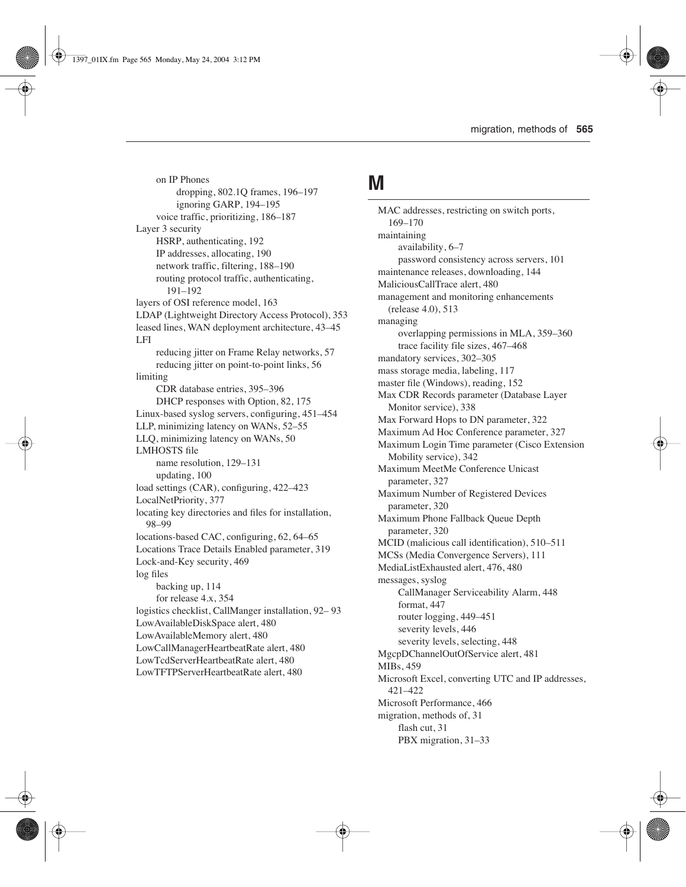on IP Phones dropping, 802.1Q frames, 196–197 ignoring GARP, 194–195 voice traffic, prioritizing, 186–187 Layer 3 security HSRP, authenticating, 192 IP addresses, allocating, 190 network traffic, filtering, 188–190 routing protocol traffic, authenticating, 191–192 layers of OSI reference model, 163 LDAP (Lightweight Directory Access Protocol), 353 leased lines, WAN deployment architecture, 43–45 LFI reducing jitter on Frame Relay networks, 57 reducing jitter on point-to-point links, 56 limiting CDR database entries, 395–396 DHCP responses with Option, 82, 175 Linux-based syslog servers, configuring, 451–454 LLP, minimizing latency on WANs, 52–55 LLQ, minimizing latency on WANs, 50 LMHOSTS file name resolution, 129–131 updating, 100 load settings (CAR), configuring, 422–423 LocalNetPriority, 377 locating key directories and files for installation, 98–99 locations-based CAC, configuring, 62, 64–65 Locations Trace Details Enabled parameter, 319 Lock-and-Key security, 469 log files backing up, 114 for release 4.x, 354 logistics checklist, CallManger installation, 92– 93 LowAvailableDiskSpace alert, 480 LowAvailableMemory alert, 480 LowCallManagerHeartbeatRate alert, 480 LowTcdServerHeartbeatRate alert, 480 LowTFTPServerHeartbeatRate alert, 480

### **M**

MAC addresses, restricting on switch ports, 169–170 maintaining availability, 6–7 password consistency across servers, 101 maintenance releases, downloading, 144 MaliciousCallTrace alert, 480 management and monitoring enhancements (release 4.0), 513 managing overlapping permissions in MLA, 359–360 trace facility file sizes, 467–468 mandatory services, 302–305 mass storage media, labeling, 117 master file (Windows), reading, 152 Max CDR Records parameter (Database Layer Monitor service), 338 Max Forward Hops to DN parameter, 322 Maximum Ad Hoc Conference parameter, 327 Maximum Login Time parameter (Cisco Extension Mobility service), 342 Maximum MeetMe Conference Unicast parameter, 327 Maximum Number of Registered Devices parameter, 320 Maximum Phone Fallback Queue Depth parameter, 320 MCID (malicious call identification), 510–511 MCSs (Media Convergence Servers), 111 MediaListExhausted alert, 476, 480 messages, syslog CallManager Serviceability Alarm, 448 format, 447 router logging, 449–451 severity levels, 446 severity levels, selecting, 448 MgcpDChannelOutOfService alert, 481 MIBs, 459 Microsoft Excel, converting UTC and IP addresses, 421–422 Microsoft Performance, 466 migration, methods of, 31 flash cut, 31 PBX migration, 31–33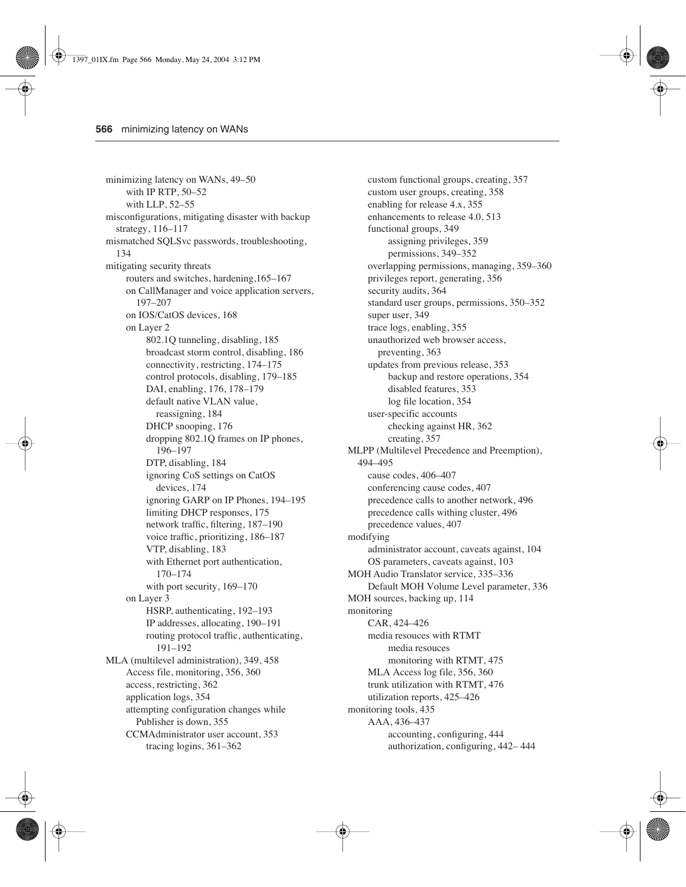minimizing latency on WANs, 49–50 with IP RTP, 50–52 with LLP, 52–55 misconfigurations, mitigating disaster with backup strategy, 116–117 mismatched SQLSvc passwords, troubleshooting, 134 mitigating security threats routers and switches, hardening,165–167 on CallManager and voice application servers, 197–207 on IOS/CatOS devices, 168 on Layer 2 802.1Q tunneling, disabling, 185 broadcast storm control, disabling, 186 connectivity, restricting, 174–175 control protocols, disabling, 179–185 DAI, enabling, 176, 178–179 default native VLAN value, reassigning, 184 DHCP snooping, 176 dropping 802.1Q frames on IP phones, 196–197 DTP, disabling, 184 ignoring CoS settings on CatOS devices, 174 ignoring GARP on IP Phones, 194–195 limiting DHCP responses, 175 network traffic, filtering, 187–190 voice traffic, prioritizing, 186–187 VTP, disabling, 183 with Ethernet port authentication, 170–174 with port security, 169–170 on Layer 3 HSRP, authenticating, 192–193 IP addresses, allocating, 190–191 routing protocol traffic, authenticating, 191–192 MLA (multilevel administration), 349, 458 Access file, monitoring, 356, 360 access, restricting, 362 application logs, 354 attempting configuration changes while Publisher is down, 355 CCMAdministrator user account, 353 tracing logins, 361–362

custom functional groups, creating, 357 custom user groups, creating, 358 enabling for release 4.x, 355 enhancements to release 4.0, 513 functional groups, 349 assigning privileges, 359 permissions, 349–352 overlapping permissions, managing, 359–360 privileges report, generating, 356 security audits, 364 standard user groups, permissions, 350–352 super user, 349 trace logs, enabling, 355 unauthorized web browser access, preventing, 363 updates from previous release, 353 backup and restore operations, 354 disabled features, 353 log file location, 354 user-specific accounts checking against HR, 362 creating, 357 MLPP (Multilevel Precedence and Preemption), 494–495 cause codes, 406–407 conferencing cause codes, 407 precedence calls to another network, 496 precedence calls withing cluster, 496 precedence values, 407 modifying administrator account, caveats against, 104 OS parameters, caveats against, 103 MOH Audio Translator service, 335–336 Default MOH Volume Level parameter, 336 MOH sources, backing up, 114 monitoring CAR, 424–426 media resouces with RTMT media resouces monitoring with RTMT, 475 MLA Access log file, 356, 360 trunk utilization with RTMT, 476 utilization reports, 425–426 monitoring tools, 435 AAA, 436–437 accounting, configuring, 444 authorization, configuring, 442– 444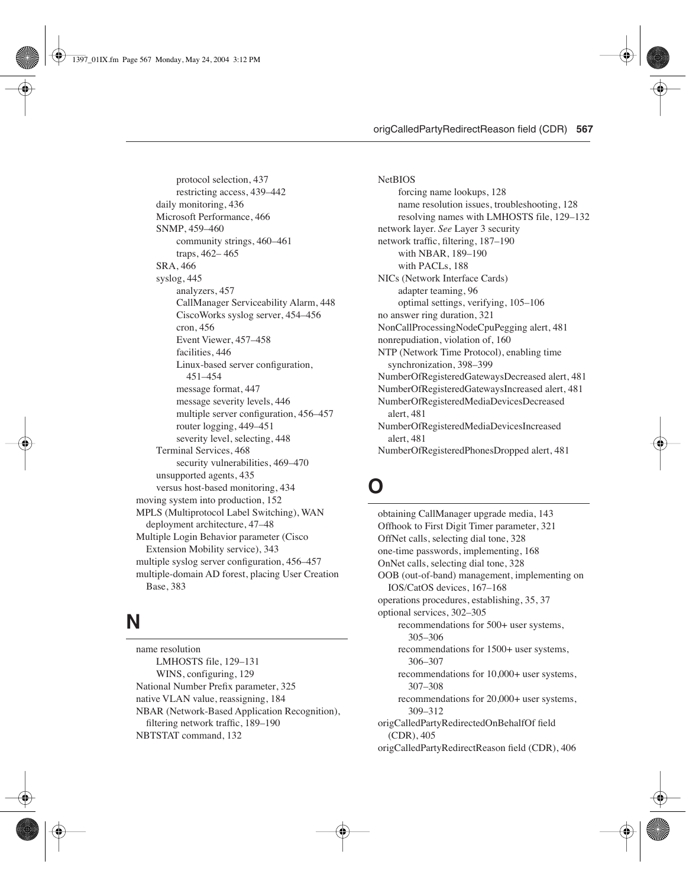protocol selection, 437 restricting access, 439–442 daily monitoring, 436 Microsoft Performance, 466 SNMP, 459–460 community strings, 460–461 traps, 462– 465 SRA, 466 syslog, 445 analyzers, 457 CallManager Serviceability Alarm, 448 CiscoWorks syslog server, 454–456 cron, 456 Event Viewer, 457–458 facilities, 446 Linux-based server configuration, 451–454 message format, 447 message severity levels, 446 multiple server configuration, 456–457 router logging, 449–451 severity level, selecting, 448 Terminal Services, 468 security vulnerabilities, 469–470 unsupported agents, 435 versus host-based monitoring, 434 moving system into production, 152 MPLS (Multiprotocol Label Switching), WAN deployment architecture, 47–48 Multiple Login Behavior parameter (Cisco Extension Mobility service), 343 multiple syslog server configuration, 456–457 multiple-domain AD forest, placing User Creation Base, 383

# **N**

name resolution LMHOSTS file, 129–131 WINS, configuring, 129 National Number Prefix parameter, 325 native VLAN value, reassigning, 184 NBAR (Network-Based Application Recognition), filtering network traffic, 189–190 NBTSTAT command, 132

NetBIOS forcing name lookups, 128 name resolution issues, troubleshooting, 128 resolving names with LMHOSTS file, 129–132 network layer. *See* Layer 3 security network traffic, filtering, 187–190 with NBAR, 189–190 with PACLs, 188 NICs (Network Interface Cards) adapter teaming, 96 optimal settings, verifying, 105–106 no answer ring duration, 321 NonCallProcessingNodeCpuPegging alert, 481 nonrepudiation, violation of, 160 NTP (Network Time Protocol), enabling time synchronization, 398–399 NumberOfRegisteredGatewaysDecreased alert, 481 NumberOfRegisteredGatewaysIncreased alert, 481 NumberOfRegisteredMediaDevicesDecreased alert, 481 NumberOfRegisteredMediaDevicesIncreased alert, 481 NumberOfRegisteredPhonesDropped alert, 481

# **O**

obtaining CallManager upgrade media, 143 Offhook to First Digit Timer parameter, 321 OffNet calls, selecting dial tone, 328 one-time passwords, implementing, 168 OnNet calls, selecting dial tone, 328 OOB (out-of-band) management, implementing on IOS/CatOS devices, 167–168 operations procedures, establishing, 35, 37 optional services, 302–305 recommendations for 500+ user systems, 305–306 recommendations for 1500+ user systems, 306–307 recommendations for 10,000+ user systems, 307–308 recommendations for 20,000+ user systems, 309–312 origCalledPartyRedirectedOnBehalfOf field (CDR), 405 origCalledPartyRedirectReason field (CDR), 406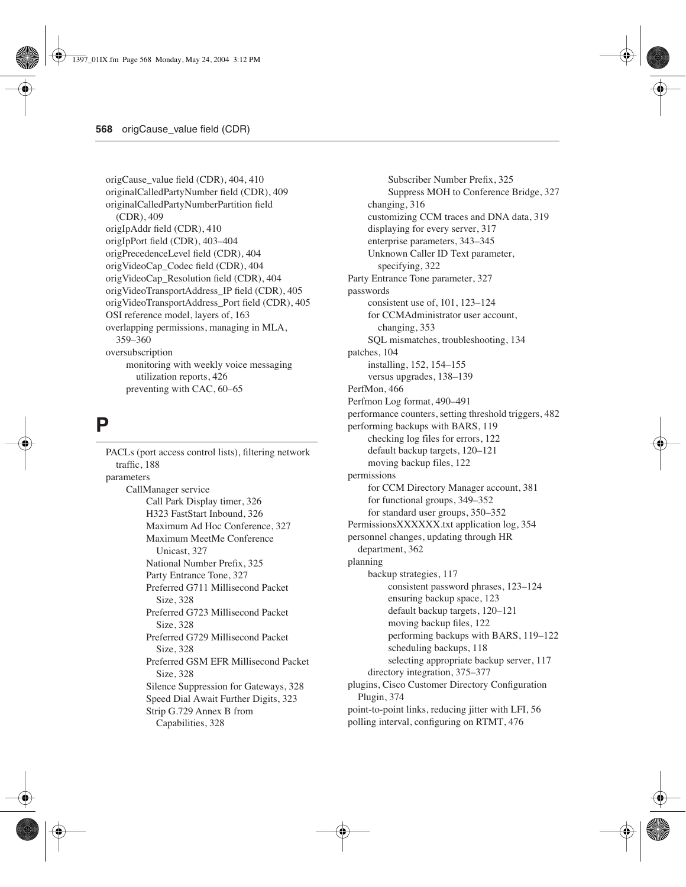origCause\_value field (CDR), 404, 410 originalCalledPartyNumber field (CDR), 409 originalCalledPartyNumberPartition field (CDR), 409 origIpAddr field (CDR), 410 origIpPort field (CDR), 403–404 origPrecedenceLevel field (CDR), 404 origVideoCap\_Codec field (CDR), 404 origVideoCap\_Resolution field (CDR), 404 origVideoTransportAddress\_IP field (CDR), 405 origVideoTransportAddress\_Port field (CDR), 405 OSI reference model, layers of, 163 overlapping permissions, managing in MLA, 359–360 oversubscription monitoring with weekly voice messaging utilization reports, 426 preventing with CAC, 60–65

### **P**

PACLs (port access control lists), filtering network traffic, 188 parameters CallManager service Call Park Display timer, 326 H323 FastStart Inbound, 326 Maximum Ad Hoc Conference, 327 Maximum MeetMe Conference Unicast, 327 National Number Prefix, 325 Party Entrance Tone, 327 Preferred G711 Millisecond Packet Size, 328 Preferred G723 Millisecond Packet Size, 328 Preferred G729 Millisecond Packet Size, 328 Preferred GSM EFR Millisecond Packet Size, 328 Silence Suppression for Gateways, 328 Speed Dial Await Further Digits, 323 Strip G.729 Annex B from Capabilities, 328

Subscriber Number Prefix, 325 Suppress MOH to Conference Bridge, 327 changing, 316 customizing CCM traces and DNA data, 319 displaying for every server, 317 enterprise parameters, 343–345 Unknown Caller ID Text parameter, specifying, 322 Party Entrance Tone parameter, 327 passwords consistent use of, 101, 123–124 for CCMAdministrator user account, changing, 353 SQL mismatches, troubleshooting, 134 patches, 104 installing, 152, 154–155 versus upgrades, 138–139 PerfMon, 466 Perfmon Log format, 490–491 performance counters, setting threshold triggers, 482 performing backups with BARS, 119 checking log files for errors, 122 default backup targets, 120–121 moving backup files, 122 permissions for CCM Directory Manager account, 381 for functional groups, 349–352 for standard user groups, 350–352 PermissionsXXXXXX.txt application log, 354 personnel changes, updating through HR department, 362 planning backup strategies, 117 consistent password phrases, 123–124 ensuring backup space, 123 default backup targets, 120–121 moving backup files, 122 performing backups with BARS, 119–122 scheduling backups, 118 selecting appropriate backup server, 117 directory integration, 375–377 plugins, Cisco Customer Directory Configuration Plugin, 374 point-to-point links, reducing jitter with LFI, 56 polling interval, configuring on RTMT, 476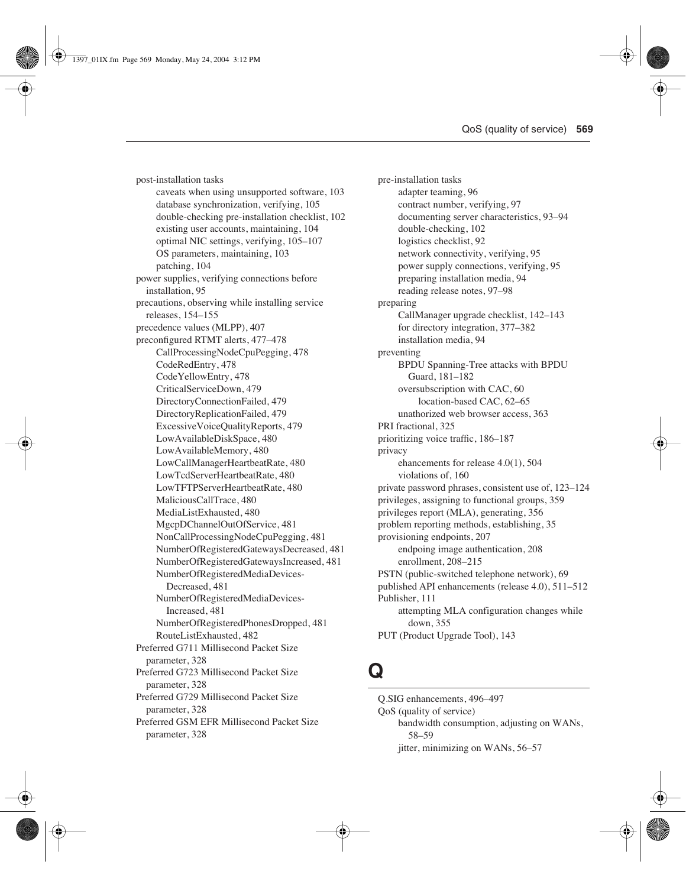post-installation tasks caveats when using unsupported software, 103 database synchronization, verifying, 105 double-checking pre-installation checklist, 102 existing user accounts, maintaining, 104 optimal NIC settings, verifying, 105–107 OS parameters, maintaining, 103 patching, 104 power supplies, verifying connections before installation, 95 precautions, observing while installing service releases, 154–155 precedence values (MLPP), 407 preconfigured RTMT alerts, 477–478 CallProcessingNodeCpuPegging, 478 CodeRedEntry, 478 CodeYellowEntry, 478 CriticalServiceDown, 479 DirectoryConnectionFailed, 479 DirectoryReplicationFailed, 479 ExcessiveVoiceQualityReports, 479 LowAvailableDiskSpace, 480 LowAvailableMemory, 480 LowCallManagerHeartbeatRate, 480 LowTcdServerHeartbeatRate, 480 LowTFTPServerHeartbeatRate, 480 MaliciousCallTrace, 480 MediaListExhausted, 480 MgcpDChannelOutOfService, 481 NonCallProcessingNodeCpuPegging, 481 NumberOfRegisteredGatewaysDecreased, 481 NumberOfRegisteredGatewaysIncreased, 481 NumberOfRegisteredMediaDevices-Decreased, 481 NumberOfRegisteredMediaDevices-Increased, 481 NumberOfRegisteredPhonesDropped, 481 RouteListExhausted, 482 Preferred G711 Millisecond Packet Size parameter, 328 Preferred G723 Millisecond Packet Size parameter, 328 Preferred G729 Millisecond Packet Size parameter, 328 Preferred GSM EFR Millisecond Packet Size parameter, 328

pre-installation tasks adapter teaming, 96 contract number, verifying, 97 documenting server characteristics, 93–94 double-checking, 102 logistics checklist, 92 network connectivity, verifying, 95 power supply connections, verifying, 95 preparing installation media, 94 reading release notes, 97–98 preparing CallManager upgrade checklist, 142–143 for directory integration, 377–382 installation media, 94 preventing BPDU Spanning-Tree attacks with BPDU Guard, 181–182 oversubscription with CAC, 60 location-based CAC, 62–65 unathorized web browser access, 363 PRI fractional, 325 prioritizing voice traffic, 186–187 privacy ehancements for release 4.0(1), 504 violations of, 160 private password phrases, consistent use of, 123–124 privileges, assigning to functional groups, 359 privileges report (MLA), generating, 356 problem reporting methods, establishing, 35 provisioning endpoints, 207 endpoing image authentication, 208 enrollment, 208–215 PSTN (public-switched telephone network), 69 published API enhancements (release 4.0), 511–512 Publisher, 111 attempting MLA configuration changes while down, 355 PUT (Product Upgrade Tool), 143

### **Q**

Q.SIG enhancements, 496–497 QoS (quality of service) bandwidth consumption, adjusting on WANs, 58–59 jitter, minimizing on WANs, 56–57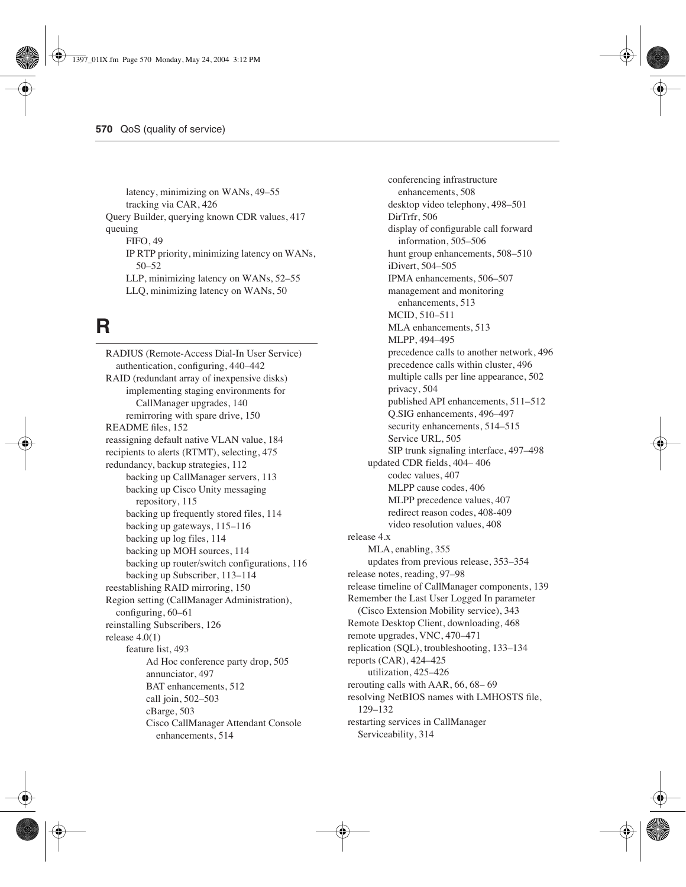latency, minimizing on WANs, 49–55 tracking via CAR, 426 Query Builder, querying known CDR values, 417 queuing FIFO, 49 IP RTP priority, minimizing latency on WANs, 50–52 LLP, minimizing latency on WANs, 52–55 LLQ, minimizing latency on WANs, 50

# **R**

RADIUS (Remote-Access Dial-In User Service) authentication, configuring, 440–442 RAID (redundant array of inexpensive disks) implementing staging environments for CallManager upgrades, 140 remirroring with spare drive, 150 README files, 152 reassigning default native VLAN value, 184 recipients to alerts (RTMT), selecting, 475 redundancy, backup strategies, 112 backing up CallManager servers, 113 backing up Cisco Unity messaging repository, 115 backing up frequently stored files, 114 backing up gateways, 115–116 backing up log files, 114 backing up MOH sources, 114 backing up router/switch configurations, 116 backing up Subscriber, 113–114 reestablishing RAID mirroring, 150 Region setting (CallManager Administration), configuring, 60–61 reinstalling Subscribers, 126 release  $4.0(1)$ feature list, 493 Ad Hoc conference party drop, 505 annunciator, 497 BAT enhancements, 512 call join, 502–503 cBarge, 503 Cisco CallManager Attendant Console enhancements, 514

conferencing infrastructure enhancements, 508 desktop video telephony, 498–501 DirTrfr, 506 display of configurable call forward information, 505–506 hunt group enhancements, 508–510 iDivert, 504–505 IPMA enhancements, 506–507 management and monitoring enhancements, 513 MCID, 510–511 MLA enhancements, 513 MLPP, 494–495 precedence calls to another network, 496 precedence calls within cluster, 496 multiple calls per line appearance, 502 privacy, 504 published API enhancements, 511–512 Q.SIG enhancements, 496–497 security enhancements, 514-515 Service URL, 505 SIP trunk signaling interface, 497–498 updated CDR fields, 404– 406 codec values, 407 MLPP cause codes, 406 MLPP precedence values, 407 redirect reason codes, 408-409 video resolution values, 408 release 4.x MLA, enabling, 355 updates from previous release, 353–354 release notes, reading, 97–98 release timeline of CallManager components, 139 Remember the Last User Logged In parameter (Cisco Extension Mobility service), 343 Remote Desktop Client, downloading, 468 remote upgrades, VNC, 470–471 replication (SQL), troubleshooting, 133–134 reports (CAR), 424–425 utilization, 425–426 rerouting calls with AAR, 66, 68– 69 resolving NetBIOS names with LMHOSTS file, 129–132 restarting services in CallManager Serviceability, 314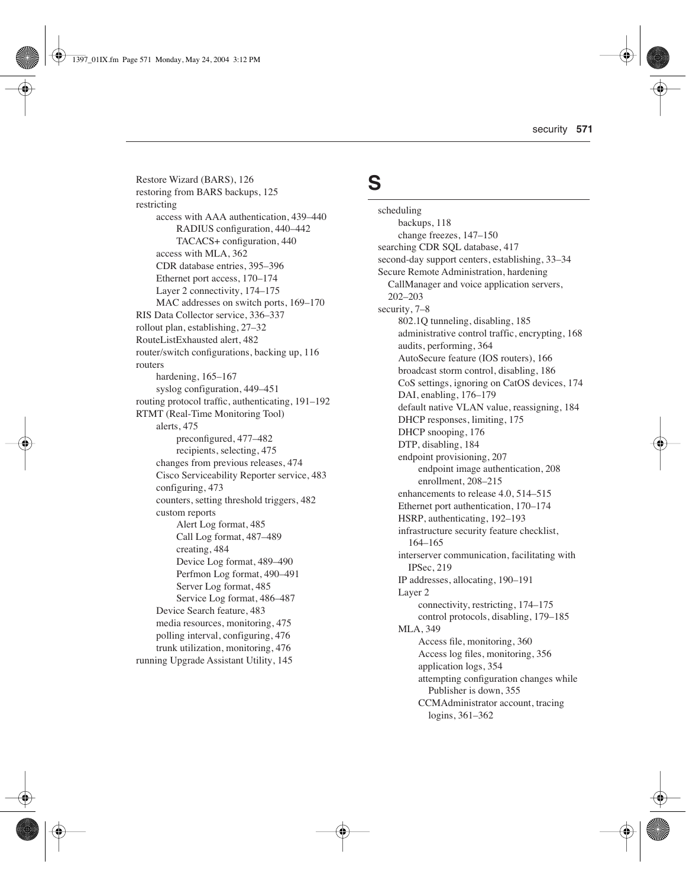Restore Wizard (BARS), 126 restoring from BARS backups, 125 restricting access with AAA authentication, 439–440 RADIUS configuration, 440–442 TACACS+ configuration, 440 access with MLA, 362 CDR database entries, 395–396 Ethernet port access, 170–174 Layer 2 connectivity, 174–175 MAC addresses on switch ports, 169–170 RIS Data Collector service, 336–337 rollout plan, establishing, 27–32 RouteListExhausted alert, 482 router/switch configurations, backing up, 116 routers hardening, 165–167 syslog configuration, 449–451 routing protocol traffic, authenticating, 191–192 RTMT (Real-Time Monitoring Tool) alerts, 475 preconfigured, 477–482 recipients, selecting, 475 changes from previous releases, 474 Cisco Serviceability Reporter service, 483 configuring, 473 counters, setting threshold triggers, 482 custom reports Alert Log format, 485 Call Log format, 487–489 creating, 484 Device Log format, 489–490 Perfmon Log format, 490–491 Server Log format, 485 Service Log format, 486–487 Device Search feature, 483 media resources, monitoring, 475 polling interval, configuring, 476 trunk utilization, monitoring, 476 running Upgrade Assistant Utility, 145

### **S**

scheduling backups, 118 change freezes, 147–150 searching CDR SQL database, 417 second-day support centers, establishing, 33–34 Secure Remote Administration, hardening CallManager and voice application servers, 202–203 security, 7–8 802.1Q tunneling, disabling, 185 administrative control traffic, encrypting, 168 audits, performing, 364 AutoSecure feature (IOS routers), 166 broadcast storm control, disabling, 186 CoS settings, ignoring on CatOS devices, 174 DAI, enabling, 176–179 default native VLAN value, reassigning, 184 DHCP responses, limiting, 175 DHCP snooping, 176 DTP, disabling, 184 endpoint provisioning, 207 endpoint image authentication, 208 enrollment, 208–215 enhancements to release 4.0, 514–515 Ethernet port authentication, 170–174 HSRP, authenticating, 192–193 infrastructure security feature checklist, 164–165 interserver communication, facilitating with IPSec, 219 IP addresses, allocating, 190–191 Layer 2 connectivity, restricting, 174–175 control protocols, disabling, 179–185 MLA, 349 Access file, monitoring, 360 Access log files, monitoring, 356 application logs, 354 attempting configuration changes while Publisher is down, 355 CCMAdministrator account, tracing logins, 361–362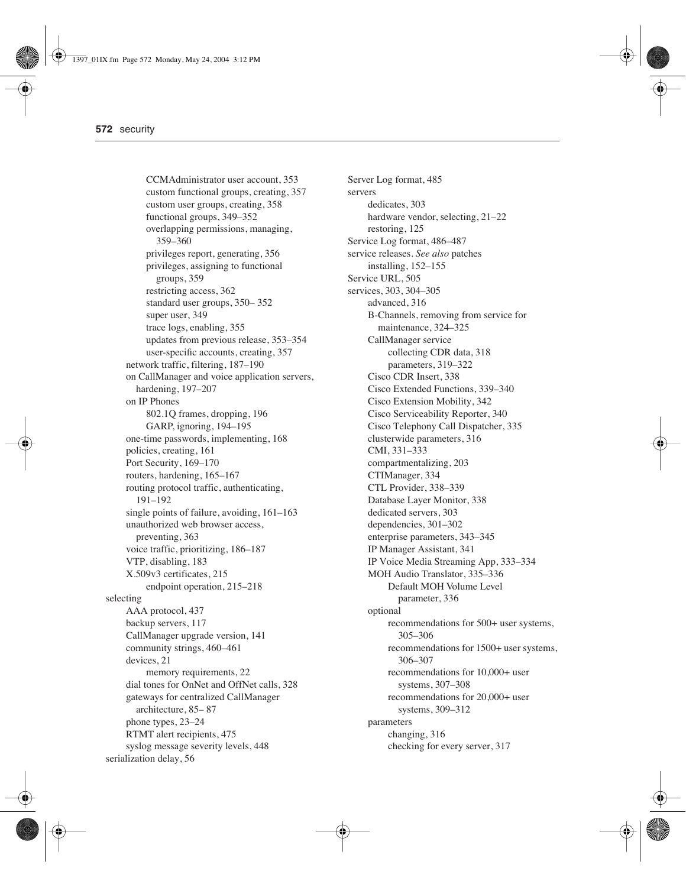CCMAdministrator user account, 353 custom functional groups, creating, 357 custom user groups, creating, 358 functional groups, 349–352 overlapping permissions, managing, 359–360 privileges report, generating, 356 privileges, assigning to functional groups, 359 restricting access, 362 standard user groups, 350– 352 super user, 349 trace logs, enabling, 355 updates from previous release, 353–354 user-specific accounts, creating, 357 network traffic, filtering, 187–190 on CallManager and voice application servers, hardening, 197–207 on IP Phones 802.1Q frames, dropping, 196 GARP, ignoring, 194–195 one-time passwords, implementing, 168 policies, creating, 161 Port Security, 169–170 routers, hardening, 165–167 routing protocol traffic, authenticating, 191–192 single points of failure, avoiding, 161–163 unauthorized web browser access, preventing, 363 voice traffic, prioritizing, 186–187 VTP, disabling, 183 X.509v3 certificates, 215 endpoint operation, 215–218 selecting AAA protocol, 437 backup servers, 117 CallManager upgrade version, 141 community strings, 460–461 devices, 21 memory requirements, 22 dial tones for OnNet and OffNet calls, 328 gateways for centralized CallManager architecture, 85– 87 phone types, 23–24 RTMT alert recipients, 475 syslog message severity levels, 448 serialization delay, 56

Server Log format, 485 servers dedicates, 303 hardware vendor, selecting, 21–22 restoring, 125 Service Log format, 486–487 service releases. *See also* patches installing, 152–155 Service URL, 505 services, 303, 304–305 advanced, 316 B-Channels, removing from service for maintenance, 324–325 CallManager service collecting CDR data, 318 parameters, 319–322 Cisco CDR Insert, 338 Cisco Extended Functions, 339–340 Cisco Extension Mobility, 342 Cisco Serviceability Reporter, 340 Cisco Telephony Call Dispatcher, 335 clusterwide parameters, 316 CMI, 331–333 compartmentalizing, 203 CTIManager, 334 CTL Provider, 338–339 Database Layer Monitor, 338 dedicated servers, 303 dependencies, 301–302 enterprise parameters, 343–345 IP Manager Assistant, 341 IP Voice Media Streaming App, 333–334 MOH Audio Translator, 335–336 Default MOH Volume Level parameter, 336 optional recommendations for 500+ user systems, 305–306 recommendations for 1500+ user systems, 306–307 recommendations for 10,000+ user systems, 307–308 recommendations for 20,000+ user systems, 309–312 parameters changing, 316 checking for every server, 317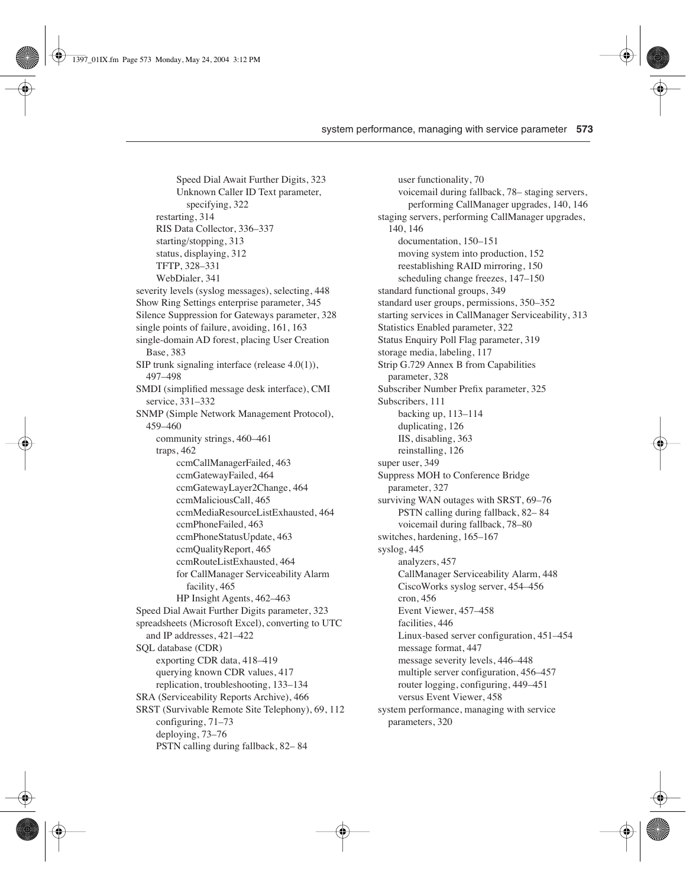Speed Dial Await Further Digits, 323 Unknown Caller ID Text parameter, specifying, 322 restarting, 314 RIS Data Collector, 336–337 starting/stopping, 313 status, displaying, 312 TFTP, 328–331 WebDialer, 341 severity levels (syslog messages), selecting, 448 Show Ring Settings enterprise parameter, 345 Silence Suppression for Gateways parameter, 328 single points of failure, avoiding, 161, 163 single-domain AD forest, placing User Creation Base, 383 SIP trunk signaling interface (release 4.0(1)), 497–498 SMDI (simplified message desk interface), CMI service, 331–332 SNMP (Simple Network Management Protocol), 459–460 community strings, 460–461 traps, 462 ccmCallManagerFailed, 463 ccmGatewayFailed, 464 ccmGatewayLayer2Change, 464 ccmMaliciousCall, 465 ccmMediaResourceListExhausted, 464 ccmPhoneFailed, 463 ccmPhoneStatusUpdate, 463 ccmQualityReport, 465 ccmRouteListExhausted, 464 for CallManager Serviceability Alarm facility, 465 HP Insight Agents, 462–463 Speed Dial Await Further Digits parameter, 323 spreadsheets (Microsoft Excel), converting to UTC and IP addresses, 421–422 SQL database (CDR) exporting CDR data, 418–419 querying known CDR values, 417 replication, troubleshooting, 133–134 SRA (Serviceability Reports Archive), 466 SRST (Survivable Remote Site Telephony), 69, 112 configuring, 71–73 deploying, 73–76 PSTN calling during fallback, 82– 84

user functionality, 70 voicemail during fallback, 78– staging servers, performing CallManager upgrades, 140, 146 staging servers, performing CallManager upgrades, 140, 146 documentation, 150–151 moving system into production, 152 reestablishing RAID mirroring, 150 scheduling change freezes, 147–150 standard functional groups, 349 standard user groups, permissions, 350–352 starting services in CallManager Serviceability, 313 Statistics Enabled parameter, 322 Status Enquiry Poll Flag parameter, 319 storage media, labeling, 117 Strip G.729 Annex B from Capabilities parameter, 328 Subscriber Number Prefix parameter, 325 Subscribers, 111 backing up, 113–114 duplicating, 126 IIS, disabling, 363 reinstalling, 126 super user, 349 Suppress MOH to Conference Bridge parameter, 327 surviving WAN outages with SRST, 69–76 PSTN calling during fallback, 82– 84 voicemail during fallback, 78–80 switches, hardening, 165–167 syslog, 445 analyzers, 457 CallManager Serviceability Alarm, 448 CiscoWorks syslog server, 454–456 cron, 456 Event Viewer, 457–458 facilities, 446 Linux-based server configuration, 451–454 message format, 447 message severity levels, 446–448 multiple server configuration, 456–457 router logging, configuring, 449–451 versus Event Viewer, 458 system performance, managing with service parameters, 320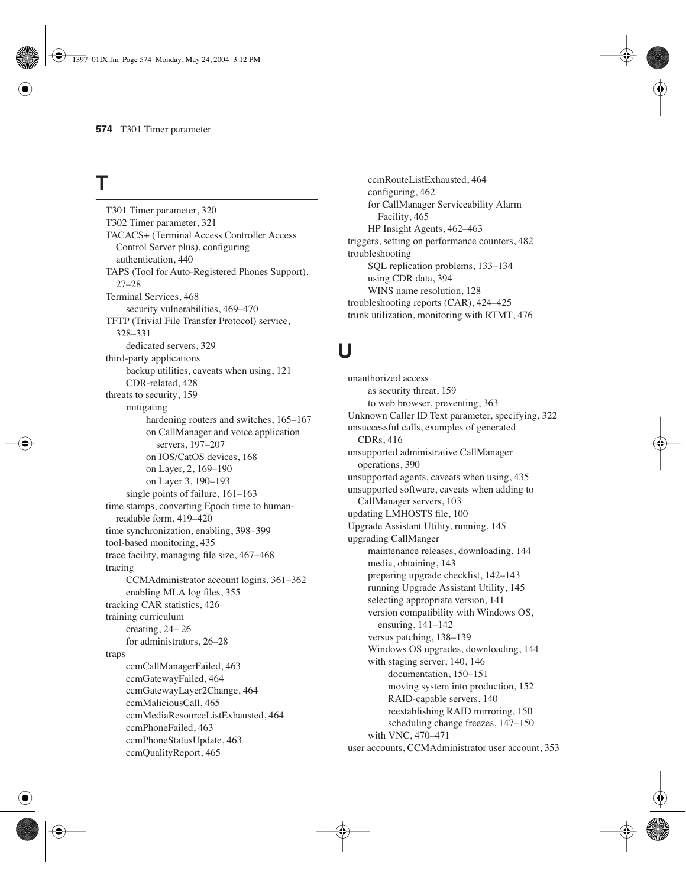#### **T**

T301 Timer parameter, 320 T302 Timer parameter, 321 TACACS+ (Terminal Access Controller Access Control Server plus), configuring authentication, 440 TAPS (Tool for Auto-Registered Phones Support), 27–28 Terminal Services, 468 security vulnerabilities, 469–470 TFTP (Trivial File Transfer Protocol) service, 328–331 dedicated servers, 329 third-party applications backup utilities, caveats when using, 121 CDR-related, 428 threats to security, 159 mitigating hardening routers and switches, 165–167 on CallManager and voice application servers, 197–207 on IOS/CatOS devices, 168 on Layer, 2, 169–190 on Layer 3, 190–193 single points of failure, 161–163 time stamps, converting Epoch time to humanreadable form, 419–420 time synchronization, enabling, 398–399 tool-based monitoring, 435 trace facility, managing file size, 467–468 tracing CCMAdministrator account logins, 361–362 enabling MLA log files, 355 tracking CAR statistics, 426 training curriculum creating, 24– 26 for administrators, 26–28 traps ccmCallManagerFailed, 463 ccmGatewayFailed, 464 ccmGatewayLayer2Change, 464 ccmMaliciousCall, 465 ccmMediaResourceListExhausted, 464 ccmPhoneFailed, 463 ccmPhoneStatusUpdate, 463 ccmQualityReport, 465

ccmRouteListExhausted, 464 configuring, 462 for CallManager Serviceability Alarm Facility, 465 HP Insight Agents, 462–463 triggers, setting on performance counters, 482 troubleshooting SQL replication problems, 133–134 using CDR data, 394 WINS name resolution, 128 troubleshooting reports (CAR), 424–425 trunk utilization, monitoring with RTMT, 476

### **U**

unauthorized access as security threat, 159 to web browser, preventing, 363 Unknown Caller ID Text parameter, specifying, 322 unsuccessful calls, examples of generated CDRs, 416 unsupported administrative CallManager operations, 390 unsupported agents, caveats when using, 435 unsupported software, caveats when adding to CallManager servers, 103 updating LMHOSTS file, 100 Upgrade Assistant Utility, running, 145 upgrading CallManger maintenance releases, downloading, 144 media, obtaining, 143 preparing upgrade checklist, 142–143 running Upgrade Assistant Utility, 145 selecting appropriate version, 141 version compatibility with Windows OS, ensuring, 141–142 versus patching, 138–139 Windows OS upgrades, downloading, 144 with staging server, 140, 146 documentation, 150–151 moving system into production, 152 RAID-capable servers, 140 reestablishing RAID mirroring, 150 scheduling change freezes, 147–150 with VNC, 470–471 user accounts, CCMAdministrator user account, 353